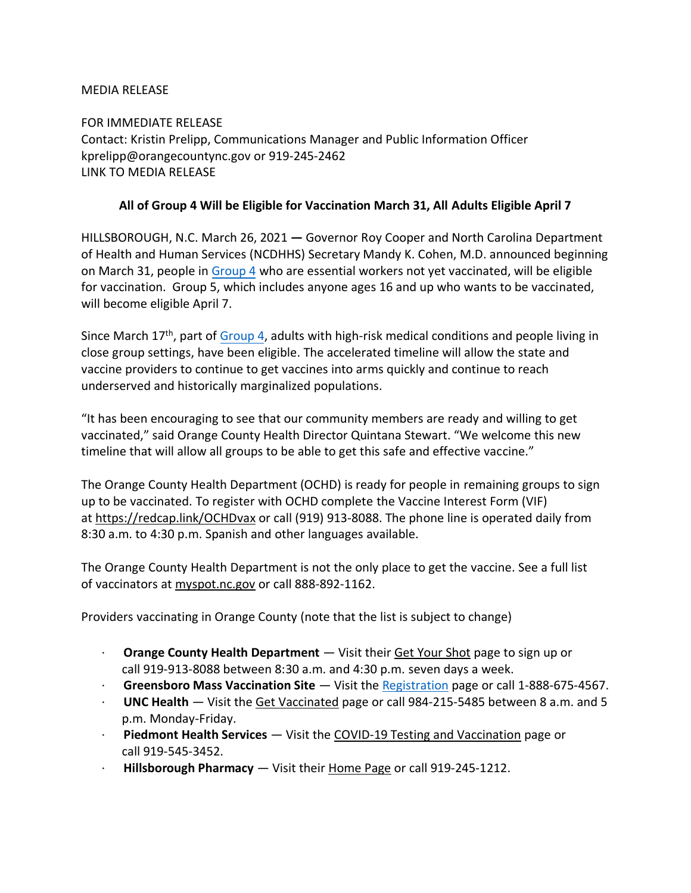## MEDIA RELEASE

FOR IMMEDIATE RELEASE Contact: Kristin Prelipp, Communications Manager and Public Information Officer kprelipp@orangecountync.gov or 919-245-2462 [LINK TO MEDIA RELEASE](https://www.orangecountync.gov/DocumentCenter/View/15281/All-of-Group-4-Will-be-Eligible-for-Vaccination-March-31-All-Adults-Eligible-April-7-_-FINAL)

## **All of Group 4 Will be Eligible for Vaccination March 31, All Adults Eligible April 7**

HILLSBOROUGH, N.C. March 26, 2021 **―** Governor Roy Cooper and North Carolina Department of Health and Human Services (NCDHHS) Secretary Mandy K. Cohen, M.D. announced beginning on March 31, people in [Group 4](https://covid19.ncdhhs.gov/vaccines/find-your-spot-take-your-shot/deeper-dive-group-4) who are essential workers not yet vaccinated, will be eligible for vaccination. Group 5, which includes anyone ages 16 and up who wants to be vaccinated, will become eligible April 7.

Since March 17<sup>th</sup>, part of [Group 4,](https://covid19.ncdhhs.gov/vaccines/find-your-spot-take-your-shot/deeper-dive-group-4) adults with high-risk medical conditions and people living in close group settings, have been eligible. The accelerated timeline will allow the state and vaccine providers to continue to get vaccines into arms quickly and continue to reach underserved and historically marginalized populations.

"It has been encouraging to see that our community members are ready and willing to get vaccinated," said Orange County Health Director Quintana Stewart. "We welcome this new timeline that will allow all groups to be able to get this safe and effective vaccine."

The Orange County Health Department (OCHD) is ready for people in remaining groups to sign up to be vaccinated. To register with OCHD complete the Vaccine Interest Form (VIF) at <https://redcap.link/OCHDvax> or call (919) 913-8088. The phone line is operated daily from 8:30 a.m. to 4:30 p.m. Spanish and other languages available.

The Orange County Health Department is not the only place to get the vaccine. See a full list of vaccinators at [myspot.nc.gov](https://myspot.nc.gov/) or call 888-892-1162.

Providers vaccinating in Orange County (note that the list is subject to change)

- · **Orange County Health Department** ― Visit their [Get Your Shot](https://www.orangecountync.gov/2617/Vaccine) page to sign up or call 919-913-8088 between 8:30 a.m. and 4:30 p.m. seven days a week.
- · **Greensboro Mass Vaccination Site** ― Visit the [Registration](https://www.guilfordcountync.gov/how-do-i/gso-mass-vax) page or call 1-888-675-4567.
- · **UNC Health** ― Visit the [Get Vaccinated](https://vaccine.unchealthcare.org/get-vaccinated/) page or call 984-215-5485 between 8 a.m. and 5 p.m. Monday-Friday.
- · **Piedmont Health Services** ― Visit the [COVID-19 Testing and Vaccination](https://piedmonthealth.org/how-can-i-be-tested-for-covid19/) page or call 919-545-3452.
- · **Hillsborough Pharmacy** ― Visit their [Home Page](https://www.hillsboroughpharmacync.com/) or call 919-245-1212.